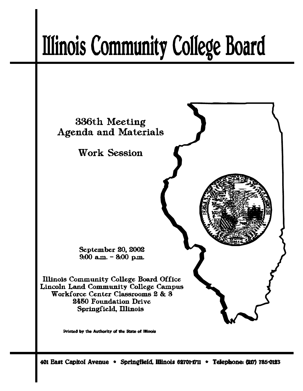# **Illinois Community College Board**



Printed by the Authority of the State of Illinois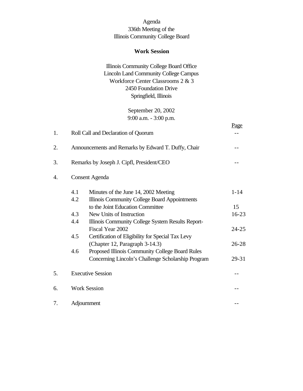# Agenda 336th Meeting of the Illinois Community College Board

## **Work Session**

# Illinois Community College Board Office Lincoln Land Community College Campus Workforce Center Classrooms 2 & 3 2450 Foundation Drive Springfield, Illinois

September 20, 2002 9:00 a.m. - 3:00 p.m.

|    |                       |                                                     | Page      |  |
|----|-----------------------|-----------------------------------------------------|-----------|--|
| 1. |                       | Roll Call and Declaration of Quorum                 |           |  |
| 2. |                       | Announcements and Remarks by Edward T. Duffy, Chair |           |  |
| 3. |                       | Remarks by Joseph J. Cipfl, President/CEO           |           |  |
| 4. | <b>Consent Agenda</b> |                                                     |           |  |
|    | 4.1                   | Minutes of the June 14, 2002 Meeting                | $1 - 14$  |  |
|    | 4.2                   | Illinois Community College Board Appointments       |           |  |
|    |                       | to the Joint Education Committee                    | 15        |  |
|    | 4.3                   | New Units of Instruction                            | 16-23     |  |
|    | 4.4                   | Illinois Community College System Results Report-   |           |  |
|    |                       | Fiscal Year 2002                                    | 24-25     |  |
|    | 4.5                   | Certification of Eligibility for Special Tax Levy   |           |  |
|    |                       | (Chapter 12, Paragraph 3-14.3)                      | $26 - 28$ |  |
|    | 4.6                   | Proposed Illinois Community College Board Rules     |           |  |
|    |                       | Concerning Lincoln's Challenge Scholarship Program  | 29-31     |  |
| 5. |                       | <b>Executive Session</b>                            |           |  |
| 6. |                       | <b>Work Session</b>                                 |           |  |
| 7. |                       | Adjournment                                         |           |  |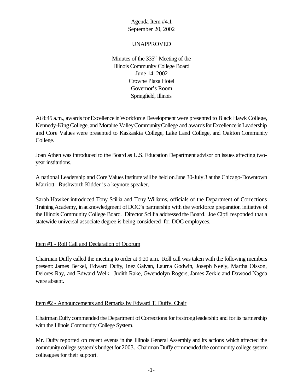## UNAPPROVED

Minutes of the  $335<sup>th</sup>$  Meeting of the Illinois Community College Board June 14, 2002 Crowne Plaza Hotel Governor's Room Springfield, Illinois

At 8:45 a.m., awards for Excellence in Workforce Development were presented to Black Hawk College, Kennedy-King College, and Moraine Valley Community College and awards for Excellence in Leadership and Core Values were presented to Kaskaskia College, Lake Land College, and Oakton Community College.

Joan Athen was introduced to the Board as U.S. Education Department advisor on issues affecting twoyear institutions.

A national Leadership and Core Values Institute will be held on June 30-July 3 at the Chicago-Downtown Marriott. Rushworth Kidder is a keynote speaker.

Sarah Hawker introduced Tony Scillia and Tony Williams, officials of the Department of Corrections Training Academy, in acknowledgment of DOC's partnership with the workforce preparation initiative of the Illinois Community College Board. Director Scillia addressed the Board. Joe Cipfl responded that a statewide universal associate degree is being considered for DOC employees.

#### Item #1 - Roll Call and Declaration of Quorum

Chairman Duffy called the meeting to order at 9:20 a.m. Roll call was taken with the following members present: James Berkel, Edward Duffy, Inez Galvan, Laurna Godwin, Joseph Neely, Martha Olsson, Delores Ray, and Edward Welk. Judith Rake, Gwendolyn Rogers, James Zerkle and Dawood Nagda were absent.

#### Item #2 - Announcements and Remarks by Edward T. Duffy, Chair

ChairmanDuffycommended the Department ofCorrections foritsstrongleadership and forits partnership with the Illinois Community College System.

Mr. Duffy reported on recent events in the Illinois General Assembly and its actions which affected the community college system's budget for 2003. Chairman Duffy commended the community college system colleagues for their support.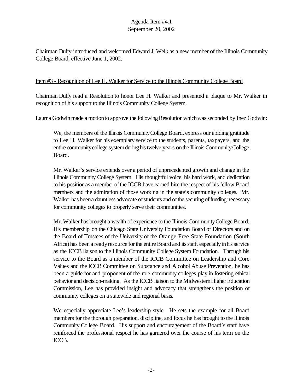Chairman Duffy introduced and welcomed Edward J. Welk as a new member of the Illinois Community College Board, effective June 1, 2002.

## Item #3 - Recognition of Lee H. Walker for Service to the Illinois Community College Board

Chairman Duffy read a Resolution to honor Lee H. Walker and presented a plaque to Mr. Walker in recognition of his support to the Illinois Community College System.

Laurna Godwin made a motion to approve the following Resolution which was seconded by Inez Godwin:

We, the members of the Illinois CommunityCollege Board, express our abiding gratitude to Lee H. Walker for his exemplary service to the students, parents, taxpayers, and the entire communitycollege systemduring histwelve years onthe Illinois CommunityCollege Board.

Mr. Walker's service extends over a period of unprecedented growth and change in the Illinois Community College System. His thoughtful voice, his hard work, and dedication to his positionas a member ofthe ICCB have earned him the respect of his fellow Board members and the admiration of those working in the state's community colleges. Mr. Walker has been a dauntless advocate of students and of the securing of funding necessary for community colleges to properly serve their communities.

Mr. Walker has brought a wealth of experience to the Illinois CommunityCollege Board. His membership on the Chicago State University Foundation Board of Directors and on the Board of Trustees of the University of the Orange Free State Foundation (South Africa) has been a ready resource for the entire Board and its staff, especially in his service as the ICCB liaison to the Illinois Community College System Foundation. Through his service to the Board as a member of the ICCB Committee on Leadership and Core Values and the ICCB Committee on Substance and Alcohol Abuse Prevention, he has been a guide for and proponent of the role community colleges play in fostering ethical behavior and decision-making. As the ICCB liaison to the Midwestern Higher Education Commission, Lee has provided insight and advocacy that strengthens the position of community colleges on a statewide and regional basis.

We especially appreciate Lee's leadership style. He sets the example for all Board members for the thorough preparation, discipline, and focus he has brought to the Illinois Community College Board. His support and encouragement of the Board's staff have reinforced the professional respect he has garnered over the course of his term on the ICCB.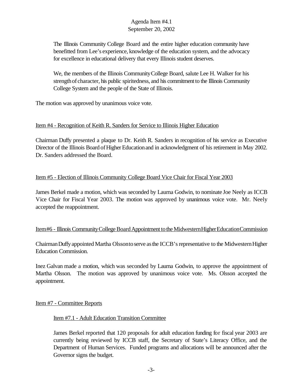The Illinois Community College Board and the entire higher education community have benefitted from Lee's experience, knowledge of the education system, and the advocacy for excellence in educational delivery that every Illinois student deserves.

We, the members of the Illinois CommunityCollege Board, salute Lee H. Walker for his strength of character, his public spiritedness, and his commitment to the Illinois Community College System and the people of the State of Illinois.

The motion was approved by unanimous voice vote.

## Item #4 - Recognition of Keith R. Sanders for Service to Illinois Higher Education

Chairman Duffy presented a plaque to Dr. Keith R. Sanders in recognition of his service as Executive Director of the Illinois Board of Higher Education and in acknowledgment of his retirement in May 2002. Dr. Sanders addressed the Board.

# Item #5 - Election of Illinois Community College Board Vice Chair for Fiscal Year 2003

James Berkel made a motion, which was seconded by Laurna Godwin, to nominate Joe Neely as ICCB Vice Chair for Fiscal Year 2003. The motion was approved by unanimous voice vote. Mr. Neely accepted the reappointment.

## Item#6 - Illinois Community College Board Appointment to the Midwestern Higher Education Commission

Chairman Duffy appointed Martha Olssonto serve as the ICCB's representative to the Midwestern Higher Education Commission.

Inez Galvan made a motion, which was seconded by Laurna Godwin, to approve the appointment of Martha Olsson. The motion was approved by unanimous voice vote. Ms. Olsson accepted the appointment.

## Item #7 - Committee Reports

## Item #7.1 - Adult Education Transition Committee

James Berkel reported that 120 proposals for adult education funding for fiscal year 2003 are currently being reviewed by ICCB staff, the Secretary of State's Literacy Office, and the Department of Human Services. Funded programs and allocations will be announced after the Governor signs the budget.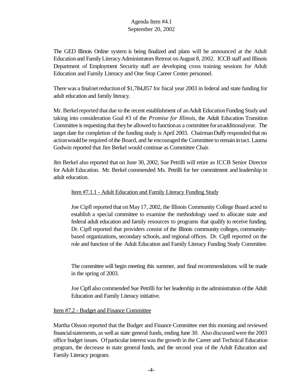The GED Illinois Online system is being finalized and plans will be announced at the Adult Education and Family Literacy Administrators Retreat on August 8, 2002. ICCB staff and Illinois Department of Employment Security staff are developing cross training sessions for Adult Education and Family Literacy and One Stop Career Center personnel.

There was a final net reduction of \$1,784,857 for fiscal year 2003 in federal and state funding for adult education and family literacy.

Mr. Berkel reported that due to the recent establishment of an Adult Education Funding Study and taking into consideration Goal #3 of the *Promise for Illinois*, the Adult Education Transition Committee is requesting that they be allowed to function as a committee for an additional year. The target date for completion of the funding study is April 2003. ChairmanDuffyresponded that no action would be required of the Board, and he encouraged the Committee to remain in tact. Laurna Godwin reported that Jim Berkel would continue as Committee Chair.

Jim Berkel also reported that on June 30, 2002, Sue Petrilli will retire as ICCB Senior Director for Adult Education. Mr. Berkel commended Ms. Petrilli for her commitment and leadership in adult education.

## Item #7.1.1 - Adult Education and Family Literacy Funding Study

Joe Cipfl reported that onMay17, 2002, the Illinois Community College Board acted to establish a special committee to examine the methodology used to allocate state and federal adult education and family resources to programs that qualify to receive funding. Dr. Cipfl reported that providers consist of the Illinois community colleges, communitybased organizations, secondary schools, and regional offices. Dr. Cipfl reported on the role and function of the Adult Education and Family Literacy Funding Study Committee.

The committee will begin meeting this summer, and final recommendations will be made in the spring of 2003.

Joe Cipfl also commended Sue Petrilli for her leadership in the administration ofthe Adult Education and Family Literacy initiative.

## Item #7.2 - Budget and Finance Committee

Martha Olsson reported that the Budget and Finance Committee met this morning and reviewed financial statements, as well as state general funds, ending June 30. Also discussed were the 2003 office budget issues. Ofparticularinterest wasthe growth in the Career and Technical Education program, the decrease in state general funds, and the second year of the Adult Education and Family Literacy program.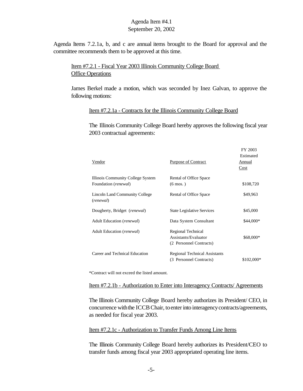Agenda Items 7.2.1a, b, and c are annual items brought to the Board for approval and the committee recommends them to be approved at this time.

Item #7.2.1 - Fiscal Year 2003 Illinois Community College Board **Office Operations** 

James Berkel made a motion, which was seconded by Inez Galvan, to approve the following motions:

#### Item #7.2.1a - Contracts for the Illinois Community College Board

The Illinois Community College Board hereby approves the following fiscal year 2003 contractual agreements:

 $EV 2002$ 

| Vendor                                                             | Purpose of Contract                                                   | 11.2002<br>Estimated<br>Annual<br>Cost |
|--------------------------------------------------------------------|-----------------------------------------------------------------------|----------------------------------------|
| Illinois Community College System<br>Foundation ( <i>renewal</i> ) | Rental of Office Space<br>$(6 \text{ mos.})$                          | \$108,720                              |
| Lincoln Land Community College<br>(renewal)                        | Rental of Office Space                                                | \$49,963                               |
| Dougherty, Bridget (renewal)                                       | <b>State Legislative Services</b>                                     | \$45,000                               |
| Adult Education ( <i>renewal</i> )                                 | Data System Consultant                                                | \$44,000*                              |
| Adult Education ( <i>renewal</i> )                                 | Regional Technical<br>Assistants/Evaluator<br>(2 Personnel Contracts) | \$68,000*                              |
| Career and Technical Education                                     | <b>Regional Technical Assistants</b><br>(3 Personnel Contracts)       | \$102,000*                             |

\*Contract will not exceed the listed amount.

#### Item #7.2.1b - Authorization to Enter into Interagency Contracts/ Agreements

The Illinois Community College Board hereby authorizes its President/ CEO, in concurrence with the ICCB Chair, to enter into interagency contracts/agreements, as needed for fiscal year 2003.

#### Item #7.2.1c - Authorization to Transfer Funds Among Line Items

The Illinois Community College Board hereby authorizes its President/CEO to transfer funds among fiscal year 2003 appropriated operating line items.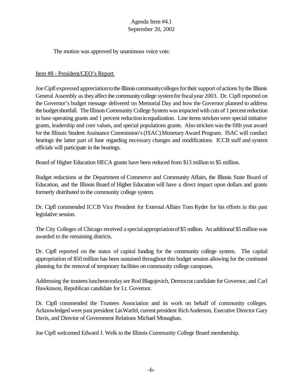The motion was approved by unanimous voice vote.

## Item #8 - President/CEO's Report

Joe Cipfl expressed appreciation to the Illinois community colleges for their support of actions by the Illinois General Assembly as they affect the community college system for fiscal year 2003. Dr. Cipfl reported on the Governor's budget message delivered on Memorial Day and how the Governor planned to address the budgetshortfall. The Illinois Community College System was impacted with cuts of 1 percent reduction in base operating grants and 1 percent reductioninequalization. Line items stricken were special initiative grants, leadership and core values, and special populations grants. Also stricken was the fifth year award for the Illinois Student Assistance Commission's (ISAC) Monetary Award Program. ISAC will conduct hearings the latter part of June regarding necessary changes and modifications. ICCB staff and system officials will participate in the hearings.

Board of Higher Education HECA grants have been reduced from \$13 million to \$5 million.

Budget reductions at the Department of Commerce and Community Affairs, the Illinois State Board of Education, and the Illinois Board of Higher Education will have a direct impact upon dollars and grants formerly distributed to the community college system.

Dr. Cipfl commended ICCB Vice President for External Affairs Tom Ryder for his efforts in this past legislative session.

The City Colleges of Chicago received a specialappropriationof\$5 million. An additional \$5 million was awarded to the remaining districts.

Dr. Cipfl reported on the status of capital funding for the community college system. The capital appropriation of \$50 million has been sustained throughout this budget session allowing for the continued planning for the removal of temporary facilities on community college campuses.

Addressing the trustees luncheon today are Rod Blagojevich, Democrat candidate for Governor, and Carl Hawkinson, Republican candidate for Lt. Governor.

Dr. Cipfl commended the Trustees Association and its work on behalf of community colleges. Acknowledged were past president LinWarfel, current president RichAnderson, Executive Director Gary Davis, and Director of Government Relations Michael Monaghan.

Joe Cipfl welcomed Edward J. Welk to the Illinois Community College Board membership.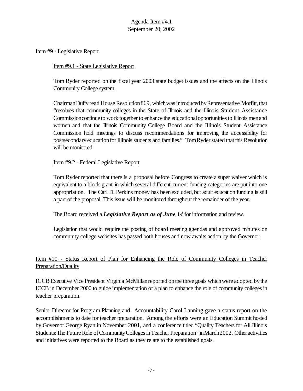#### Item #9 - Legislative Report

#### Item #9.1 - State Legislative Report

Tom Ryder reported on the fiscal year 2003 state budget issues and the affects on the Illinois Community College system.

Chairman Duffy read House Resolution 869, which was introduced by Representative Moffitt, that "resolves that community colleges in the State of Illinois and the Illinois Student Assistance Commission continue to work together to enhance the educational opportunities to Illinois men and women and that the Illinois Community College Board and the Illinois Student Assistance Commission hold meetings to discuss recommendations for improving the accessibility for postsecondary education for Illinois students and families." Tom Ryder stated that this Resolution will be monitored.

#### Item #9.2 - Federal Legislative Report

Tom Ryder reported that there is a proposal before Congress to create a super waiver which is equivalent to a block grant in which several different current funding categories are put into one appropriation. The Carl D. Perkins money has beenexcluded, but adult education funding is still a part of the proposal. This issue will be monitored throughout the remainder of the year.

The Board received a *Legislative Report as of June 14* for information and review.

Legislation that would require the posting of board meeting agendas and approved minutes on community college websites has passed both houses and now awaits action by the Governor.

# Item #10 - Status Report of Plan for Enhancing the Role of Community Colleges in Teacher Preparation/Quality

ICCBExecutive Vice President Virginia McMillanreported onthe three goals whichwere adopted bythe ICCB in December 2000 to guide implementation of a plan to enhance the role of community colleges in teacher preparation.

Senior Director for Program Planning and Accountability Carol Lanning gave a status report on the accomplishments to date for teacher preparation. Among the efforts were an Education Summit hosted by Governor George Ryan in November 2001, and a conference titled "Quality Teachers for All Illinois Students: The Future Role of Community Colleges in Teacher Preparation" in March 2002. Other activities and initiatives were reported to the Board as they relate to the established goals.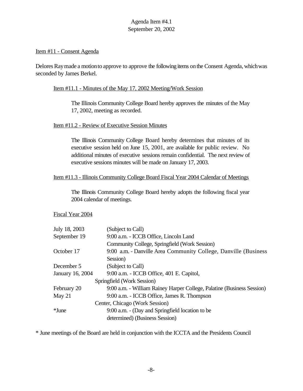#### Item #11 - Consent Agenda

Delores Ray made a motion to approve to approve the following items on the Consent Agenda, which was seconded by James Berkel.

## Item #11.1 - Minutes of the May 17, 2002 Meeting/Work Session

The Illinois Community College Board hereby approves the minutes of the May 17, 2002, meeting as recorded.

## Item #11.2 - Review of Executive Session Minutes

The Illinois Community College Board hereby determines that minutes of its executive session held on June 15, 2001, are available for public review. No additional minutes of executive sessions remain confidential. The next review of executive sessions minutes will be made on January 17, 2003.

## Item #11.3 - Illinois Community College Board Fiscal Year 2004 Calendar of Meetings

The Illinois Community College Board hereby adopts the following fiscal year 2004 calendar of meetings.

#### Fiscal Year 2004

|                            | July 18, 2003    | (Subject to Call)                                                      |  |  |  |
|----------------------------|------------------|------------------------------------------------------------------------|--|--|--|
|                            | September 19     | 9:00 a.m. - ICCB Office, Lincoln Land                                  |  |  |  |
|                            |                  | Community College, Springfield (Work Session)                          |  |  |  |
|                            | October 17       | 9:00 a.m. - Danville Area Community College, Danville (Business        |  |  |  |
|                            |                  | Session)                                                               |  |  |  |
|                            | December 5       | (Subject to Call)                                                      |  |  |  |
|                            | January 16, 2004 | 9:00 a.m. - ICCB Office, 401 E. Capitol,                               |  |  |  |
| Springfield (Work Session) |                  |                                                                        |  |  |  |
|                            | February 20      | 9:00 a.m. - William Rainey Harper College, Palatine (Business Session) |  |  |  |
|                            | May $21$         | 9:00 a.m. - ICCB Office, James R. Thompson                             |  |  |  |
|                            |                  | Center, Chicago (Work Session)                                         |  |  |  |
|                            | *June            | 9:00 a.m. - (Day and Springfield location to be                        |  |  |  |
|                            |                  | determined) (Business Session)                                         |  |  |  |
|                            |                  |                                                                        |  |  |  |

\* June meetings of the Board are held in conjunction with the ICCTA and the Presidents Council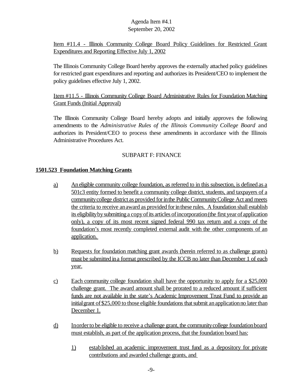Item #11.4 - Illinois Community College Board Policy Guidelines for Restricted Grant Expenditures and Reporting Effective July 1, 2002

The Illinois Community College Board hereby approves the externally attached policy guidelines for restricted grant expenditures and reporting and authorizes its President/CEO to implement the policy guidelines effective July 1, 2002.

Item #11.5 - Illinois Community College Board Administrative Rules for Foundation Matching Grant Funds (Initial Approval)

The Illinois Community College Board hereby adopts and initially approves the following amendments to the *Administrative Rules of the Illinois Community College Board* and authorizes its President/CEO to process these amendments in accordance with the Illinois Administrative Procedures Act.

# SUBPART F: FINANCE

# **1501.523 Foundation Matching Grants**

- a) An eligible community college foundation, as referred to in this subsection, is defined as a 501c3 entity formed to benefit a community college district, students, and taxpayers of a community college district as provided for in the Public Community College Act and meets the criteria to receive an award as provided for in these rules. A foundation shall establish its eligibility by submitting a copy of its articles of incorporation (the first year of application only), a copy of its most recent signed federal 990 tax return and a copy of the foundation's most recently completed external audit with the other components of an application.
- b) Requests for foundation matching grant awards (herein referred to as challenge grants) must be submitted ina format prescribed by the ICCB no later than December 1 of each year.
- c) Each community college foundation shall have the opportunity to apply for a \$25,000 challenge grant. The award amount shall be prorated to a reduced amount if sufficient funds are not available in the state's Academic Improvement Trust Fund to provide an initial grant of \$25,000 to those eligible foundations that submit an application no later than December 1.
- d) Inorderto be eligible to receive a challenge grant, the communitycollege foundationboard must establish, as part of the application process, that the foundation board has:
	- 1) established an academic improvement trust fund as a depository for private contributions and awarded challenge grants, and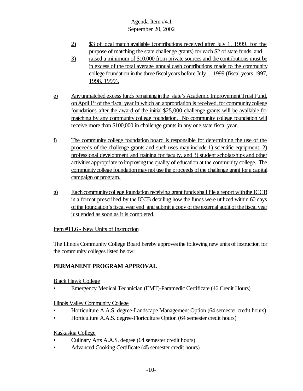- 2) \$3 of local match available (contributions received after July 1, 1999, for the purpose of matching the state challenge grants) for each \$2 of state funds, and
- 3) raised a minimum of \$10,000 from private sources and the contributions must be in excess of the total average annual cash contributions made to the community college foundation in the three fiscalyears before July 1, 1999 (fiscal years 1997, 1998, 1999).
- e) Any unmatched excess funds remaining in the state's Academic Improvement Trust Fund, on April 1<sup>st</sup> of the fiscal year in which an appropriation is received, for community college foundations after the award of the initial \$25,000 challenge grants will be available for matching by any community college foundation. No community college foundation will receive more than \$100,000 in challenge grants in any one state fiscal year.
- f) The community college foundation board is responsible for determining the use of the proceeds of the challenge grants and such uses may include 1) scientific equipment, 2) professional development and training for faculty, and 3) student scholarships and other activities appropriate to improving the quality of education at the community college. The community college foundation may not use the proceeds of the challenge grant for a capital campaign or program.
- g) Each community college foundation receiving grant funds shall file a report with the ICCB in a format prescribed by the ICCB detailing how the funds were utilized within 60 days ofthe foundation'sfiscalyear end and submit a copy of the external audit of the fiscal year just ended as soon as it is completed.

# Item #11.6 - New Units of Instruction

The Illinois Community College Board hereby approves the following new units of instruction for the community colleges listed below:

# **PERMANENT PROGRAM APPROVAL**

Black Hawk College

• Emergency Medical Technician (EMT)-Paramedic Certificate (46 Credit Hours)

# Illinois Valley Community College

- Horticulture A.A.S. degree-Landscape Management Option (64 semester credit hours)
- Horticulture A.A.S. degree-Floriculture Option (64 semester credit hours)

# Kaskaskia College

- Culinary Arts A.A.S. degree (64 semester credit hours)
- Advanced Cooking Certificate (45 semester credit hours)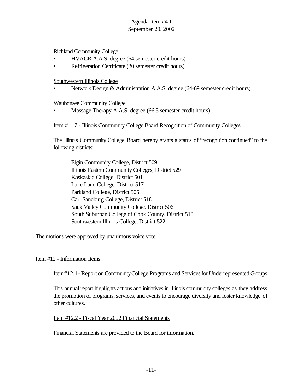## Richland Community College

- HVACR A.A.S. degree (64 semester credit hours)
- Refrigeration Certificate (30 semester credit hours)

### Southwestern Illinois College

• Network Design & Administration A.A.S. degree (64-69 semester credit hours)

#### Waubonsee Community College

Massage Therapy A.A.S. degree (66.5 semester credit hours)

## Item #11.7 - Illinois Community College Board Recognition of Community Colleges

The Illinois Community College Board hereby grants a status of "recognition continued" to the following districts:

Elgin Community College, District 509 Illinois Eastern Community Colleges, District 529 Kaskaskia College, District 501 Lake Land College, District 517 Parkland College, District 505 Carl Sandburg College, District 518 Sauk Valley Community College, District 506 South Suburban College of Cook County, District 510 Southwestern Illinois College, District 522

The motions were approved by unanimous voice vote.

#### Item #12 - Information Items

Item#12.1- Report onCommunityCollege Programs and Servicesfor Underrepresented Groups

This annual report highlights actions and initiatives in Illinois community colleges as they address the promotion of programs, services, and events to encourage diversity and foster knowledge of other cultures.

#### Item #12.2 - Fiscal Year 2002 Financial Statements

Financial Statements are provided to the Board for information.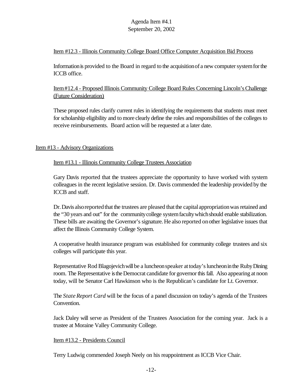## Item #12.3 - Illinois Community College Board Office Computer Acquisition Bid Process

Information is provided to the Board in regard to the acquisition of a new computer system for the ICCB office.

Item#12.4 - Proposed Illinois Community College Board Rules Concerning Lincoln'sChallenge (Future Consideration)

These proposed rules clarify current rules in identifying the requirements that students must meet for scholarship eligibility and to more clearly define the roles and responsibilities of the colleges to receive reimbursements. Board action will be requested at a later date.

## Item #13 - Advisory Organizations

#### Item #13.1 - Illinois Community College Trustees Association

Gary Davis reported that the trustees appreciate the opportunity to have worked with system colleagues in the recent legislative session. Dr. Davis commended the leadership provided by the ICCB and staff.

Dr. Davis also reported that the trustees are pleased that the capital appropriation was retained and the "30 years and out" for the communitycollege systemfacultywhichshould enable stabilization. These bills are awaiting the Governor's signature. He also reported onother legislative issues that affect the Illinois Community College System.

A cooperative health insurance program was established for community college trustees and six colleges will participate this year.

Representative Rod Blagojevich will be a luncheon speaker at today's luncheon in the Ruby Dining room. The Representative is the Democrat candidate for governor this fall. Also appearing at noon today, will be Senator Carl Hawkinson who is the Republican's candidate for Lt. Governor.

The *State Report Card* will be the focus of a panel discussion on today's agenda of the Trustees Convention.

Jack Daley will serve as President of the Trustees Association for the coming year. Jack is a trustee at Moraine Valley Community College.

#### Item #13.2 - Presidents Council

Terry Ludwig commended Joseph Neely on his reappointment as ICCB Vice Chair.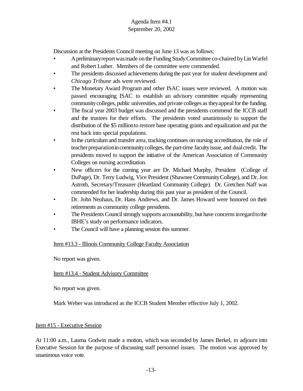Discussion at the Presidents Council meeting on June 13 was as follows:

- Apreliminaryreportwasmade onthe Funding StudyCommittee co-chaired byLinWarfel and Robert Luther. Members of the committee were commended.
- The presidents discussed achievements during the past year for student development and *Chicago Tribune* ads were reviewed.
- The Monetary Award Program and other ISAC issues were reviewed. A motion was passed encouraging ISAC to establish an advisory committee equally representing community colleges, public universities, and private colleges as they appeal for the funding.
- The fiscal year 2003 budget was discussed and the presidents commend the ICCB staff and the trustees for their efforts. The presidents voted unanimously to support the distribution of the \$5 millionto restore base operating grants and equalization and put the rest back into special populations.
- In the curriculum and transfer area, tracking continues on nursing accreditation, the role of teacher preparation in community colleges, the part-time faculty issue, and dual credit. The presidents moved to support the initiative of the American Association of Community Colleges on nursing accreditation.
- New officers for the coming year are Dr. Michael Murphy, President (College of DuPage), Dr. Terry Ludwig, Vice President (ShawneeCommunityCollege), and Dr.Jon Astroth, Secretary/Treasurer (Heartland Community College). Dr. Gretchen Naff was commended for her leadership during this past year as president of the Council.
- Dr. John Neuhaus, Dr. Hans Andrews, and Dr. James Howard were honored on their retirements as community college presidents.
- The Presidents Council strongly supports accountability, but have concerns in regard to the IBHE's study on performance indicators.
- The Council will have a planning session this summer.

## Item #13.3 - Illinois Community College Faculty Association

No report was given.

## Item #13.4 - Student Advisory Committee

No report was given.

Mark Weber was introduced as the ICCB Student Member effective July 1, 2002.

#### Item #15 - Executive Session

At 11:00 a.m., Laurna Godwin made a motion, which was seconded by James Berkel, to adjourn into Executive Session for the purpose of discussing staff personnel issues. The motion was approved by unanimous voice vote.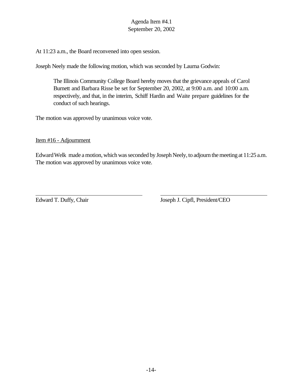At 11:23 a.m., the Board reconvened into open session.

Joseph Neely made the following motion, which was seconded by Laurna Godwin:

The Illinois Community College Board hereby moves that the grievance appeals of Carol Burnett and Barbara Risse be set for September 20, 2002, at 9:00 a.m. and 10:00 a.m. respectively, and that, in the interim, Schiff Hardin and Waite prepare guidelines for the conduct of such hearings.

The motion was approved by unanimous voice vote.

## Item #16 - Adjournment

Edward Welk made a motion, which was seconded by Joseph Neely, to adjourn the meeting at 11:25 a.m. The motion was approved by unanimous voice vote.

Edward T. Duffy, Chair Joseph J. Cipfl, President/CEO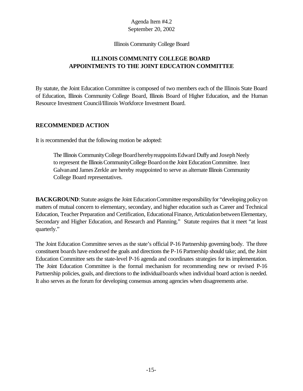#### Illinois Community College Board

# **ILLINOIS COMMUNITY COLLEGE BOARD APPOINTMENTS TO THE JOINT EDUCATION COMMITTEE**

By statute, the Joint Education Committee is composed of two members each of the Illinois State Board of Education, Illinois Community College Board, Illinois Board of Higher Education, and the Human Resource Investment Council/Illinois Workforce Investment Board.

## **RECOMMENDED ACTION**

It is recommended that the following motion be adopted:

The Illinois Community College Board hereby reappoints Edward Duffy and Joseph Neely to represent the Illinois Community College Board on the Joint Education Committee. Inez Galvanand James Zerkle are hereby reappointed to serve as alternate Illinois Community College Board representatives.

**BACKGROUND:** Statute assigns the Joint Education Committee responsibility for "developing policy on matters of mutual concern to elementary, secondary, and higher education such as Career and Technical Education, Teacher Preparation and Certification, Educational Finance, Articulation between Elementary, Secondary and Higher Education, and Research and Planning." Statute requires that it meet "at least quarterly."

The Joint Education Committee serves as the state's official P-16 Partnership governing body. The three constituent boards have endorsed the goals and directions the P-16 Partnership should take; and, the Joint Education Committee sets the state-level P-16 agenda and coordinates strategies for its implementation. The Joint Education Committee is the formal mechanism for recommending new or revised P-16 Partnership policies, goals, and directions to the individual boards when individual board action is needed. It also serves as the forum for developing consensus among agencies when disagreements arise.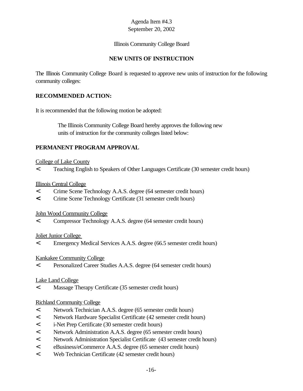## Illinois Community College Board

## **NEW UNITS OF INSTRUCTION**

The Illinois Community College Board is requested to approve new units of instruction for the following community colleges:

## **RECOMMENDED ACTION:**

It is recommended that the following motion be adopted:

 The Illinois Community College Board hereby approves the following new units of instruction for the community colleges listed below:

## **PERMANENT PROGRAM APPROVAL**

#### College of Lake County

< Teaching English to Speakers of Other Languages Certificate (30 semester credit hours)

#### Illinois Central College

- < Crime Scene Technology A.A.S. degree (64 semester credit hours)
- **<** Crime Scene Technology Certificate (31 semester credit hours)

#### John Wood Community College

< Compressor Technology A.A.S. degree (64 semester credit hours)

#### Joliet Junior College

< Emergency Medical Services A.A.S. degree (66.5 semester credit hours)

#### Kankakee Community College

< Personalized Career Studies A.A.S. degree (64 semester credit hours)

#### Lake Land College

< Massage Therapy Certificate (35 semester credit hours)

#### Richland Community College

- < Network Technician A.A.S. degree (65 semester credit hours)
- < Network Hardware Specialist Certificate (42 semester credit hours)
- < i-Net Prep Certificate (30 semester credit hours)
- < Network Administration A.A.S. degree (65 semester credit hours)
- < Network Administration Specialist Certificate (43 semester credit hours)
- < eBusiness/eCommerce A.A.S. degree (65 semester credit hours)
- < Web Technician Certificate (42 semester credit hours)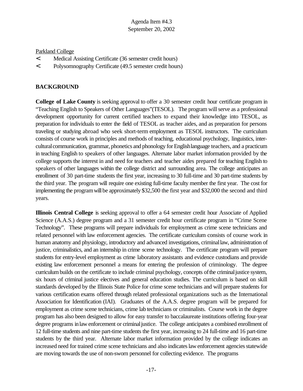## Parkland College

- < Medical Assisting Certificate (36 semester credit hours)
- < Polysomnography Certificate (49.5 semester credit hours)

# **BACKGROUND**

**College of Lake County** is seeking approval to offer a 30 semester credit hour certificate program in "Teaching English to Speakers of Other Languages"(TESOL). The program will serve as a professional development opportunity for current certified teachers to expand their knowledge into TESOL, as preparation for individuals to enter the field of TESOL as teacher aides, and as preparation for persons traveling or studying abroad who seek short-term employment as TESOL instructors. The curriculum consists of course work in principles and methods of teaching, educational psychology, linguistics, intercultural communication, grammar, phonetics and phonology for English language teachers, and a practicum in teaching English to speakers of other languages. Alternate labor market information provided by the college supports the interest in and need for teachers and teacher aides prepared for teaching English to speakers of other languages within the college district and surrounding area. The college anticipates an enrollment of 30 part-time students the first year, increasing to 30 full-time and 30 part-time students by the third year. The program will require one existing full-time faculty member the first year. The cost for implementing the program will be approximately \$32,500 the first year and \$32,000 the second and third years.

**Illinois Central College** is seeking approval to offer a 64 semester credit hour Associate of Applied Science (A.A.S.) degree program and a 31 semester credit hour certificate program in "Crime Scene Technology". These programs will prepare individuals for employment as crime scene technicians and related personnel with law enforcement agencies. The certificate curriculum consists of course work in human anatomy and physiology, introductory and advanced investigations, criminallaw, administration of justice, criminalistics, and an internship in crime scene technology. The certificate program will prepare students for entry-level employment as crime laboratory assistants and evidence custodians and provide existing law enforcement personnel a means for entering the profession of criminology. The degree curriculum builds on the certificate to include criminal psychology, concepts of the criminal justice system, six hours of criminal justice electives and general education studies. The curriculum is based on skill standards developed by the Illinois State Police for crime scene technicians and will prepare students for various certification exams offered through related professional organizations such as the International Association for Identification (IAI). Graduates of the A.A.S. degree program will be prepared for employment as crime scene technicians, crime lab technicians or criminalists. Course work in the degree program has also been designed to allow for easy transfer to baccalaureate institutions offering four-year degree programs in law enforcement or criminal justice. The college anticipates a combined enrollment of 12 full-time students and nine part-time students the first year, increasing to 24 full-time and 16 part-time students by the third year. Alternate labor market information provided by the college indicates an increased need for trained crime scene technicians and also indicates law enforcement agencies statewide are moving towards the use of non-sworn personnel for collecting evidence. The programs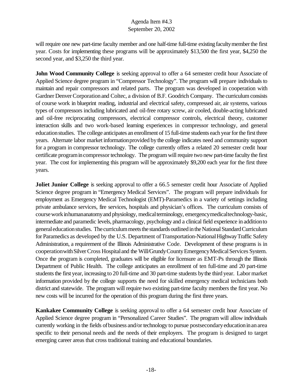will require one new part-time faculty member and one half-time full-time existing faculty member the first year. Costs for implementing these programs will be approximately \$13,500 the first year, \$4,250 the second year, and \$3,250 the third year.

**John Wood Community College** is seeking approval to offer a 64 semester credit hour Associate of Applied Science degree program in "Compressor Technology". The program will prepare individuals to maintain and repair compressors and related parts. The program was developed in cooperation with Gardner Denver Corporation and Coltec, a division of B.F. Goodrich Company. The curriculum consists of course work in blueprint reading, industrial and electrical safety, compressed air, air systems, various types of compressors including lubricated and oil-free rotary screw, air cooled, double-acting lubricated and oil-free reciprocating compressors, electrical compressor controls, electrical theory, customer interaction skills and two work-based learning experiences in compressor technology, and general education studies. The college anticipates an enrollment of 15 full-time students each year for the first three years. Alternate labor market information provided by the college indicates need and community support for a program in compressor technology. The college currently offers a related 20 semester credit hour certificate programincompressor technology. The program will require two new part-time faculty the first year. The cost for implementing this program will be approximately \$9,200 each year for the first three years.

**Joliet Junior College** is seeking approval to offer a 66.5 semester credit hour Associate of Applied Science degree program in "Emergency Medical Services". The program will prepare individuals for employment as Emergency Medical Technologist (EMT)-Paramedics in a variety of settings including private ambulance services, fire services, hospitals and physician's offices. The curriculum consists of course work inhumananatomy and physiology, medical terminology, emergency medical technology-basic, intermediate and paramedic levels, pharmacology, psychology and a clinical field experience in additionto generaleducationstudies. The curriculum meets the standards outlined in the National Standard Curriculum for Paramedics as developed by the U.S. Department of Transportation-National Highway Traffic Safety Administration, a requirement of the Illinois Administrative Code. Development of these programs is in cooperation with Silver Cross Hospital and the Will/Grundy County Emergency Medical Services System. Once the program is completed, graduates will be eligible for licensure as EMT-Ps through the Illinois Department of Public Health. The college anticipates an enrollment of ten full-time and 20 part-time students the first year, increasing to 20 full-time and 30 part-time students by the third year. Labor market information provided by the college supports the need for skilled emergency medical technicians both district and statewide. The program will require two existing part-time faculty members the first year. No new costs will be incurred for the operation of this program during the first three years.

**Kankakee Community College** is seeking approval to offer a 64 semester credit hour Associate of Applied Science degree program in "Personalized Career Studies". The program will allow individuals currently working in the fields of business and/or technology to pursue postsecondary education in an area specific to their personal needs and the needs of their employers. The program is designed to target emerging career areas that cross traditional training and educational boundaries.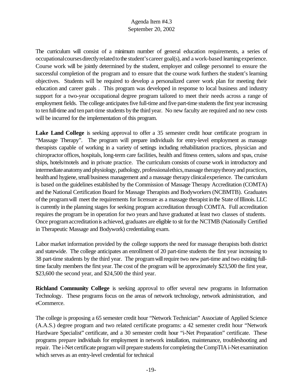The curriculum will consist of a minimum number of general education requirements, a series of occupationalcoursesdirectlyrelatedtothe student'scareer goal(s), and a work-based learning experience. Course work will be jointly determined by the student, employer and college personnel to ensure the successful completion of the program and to ensure that the course work furthers the student's learning objectives. Students will be required to develop a personalized career work plan for meeting their education and career goals . This program was developed in response to local business and industry support for a two-year occupational degree program tailored to meet their needs across a range of employment fields. The college anticipates five full-time and five part-time students the first year increasing to tenfull-time and tenpart-time students bythe third year. No new faculty are required and no new costs will be incurred for the implementation of this program.

**Lake Land College** is seeking approval to offer a 35 semester credit hour certificate program in "Massage Therapy". The program will prepare individuals for entry-level employment as massage therapists capable of working in a variety of settings including rehabilitation practices, physician and chiropractor offices, hospitals, long-term care facilities, health and fitness centers, salons and spas, cruise ships, hotels/motels and in private practice. The curriculum consists of course work in introductory and intermediate anatomy and physiology, pathology, professional ethics, massage therapy theory and practices, health and hygiene, small business management and a massage therapy clinical experience. The curriculum is based onthe guidelines established by the Commission of Massage Therapy Accreditation (COMTA) and the National Certification Board for Massage Therapists and Bodyworkers(NCBMTB). Graduates of the program will meet the requirements for licensure as a massage therapist in the State of Illinois. LLC is currently in the planning stages for seeking program accreditation through COMTA. Full accreditation requires the program be in operation for two years and have graduated at least two classes of students. Once program accreditation is achieved, graduates are eligible to sit for the NCTMB (Nationally Certified in Therapeutic Massage and Bodywork) credentialing exam.

Labor market information provided by the college supports the need for massage therapists both district and statewide. The college anticipates an enrollment of 20 part-time students the first year increasing to 38 part-time students by the third year. The programwillrequire two new part-time and two existing fulltime faculty members the first year. The cost of the program will be approximately \$23,500 the first year, \$23,600 the second year, and \$24,500 the third year.

**Richland Community College** is seeking approval to offer several new programs in Information Technology. These programs focus on the areas of network technology, network administration, and eCommerce.

The college is proposing a 65 semester credit hour "Network Technician" Associate of Applied Science (A.A.S.) degree program and two related certificate programs: a 42 semester credit hour "Network Hardware Specialist" certificate, and a 30 semester credit hour "i-Net Preparation" certificate. These programs prepare individuals for employment in network installation, maintenance, troubleshooting and repair. The i-Net certificate program will prepare students for completing the CompTIA i-Net examination which serves as an entry-level credential for technical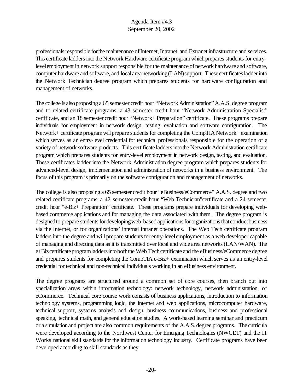professionals responsible for the maintenance of Internet, Intranet, and Extranet infrastructure and services. This certificate ladders into the Network Hardware certificate program which prepares students for entrylevel employment in network support responsible for the maintenance of network hardware and software, computer hardware and software, and localareanetworking(LAN)support. These certificates ladder into the Network Technician degree program which prepares students for hardware configuration and management of networks.

The college is also proposing a 65 semester credit hour "Network Administration" A.A.S. degree program and to related certificate programs: a 43 semester credit hour "Network Administration Specialist" certificate, and an 18 semester credit hour "Network+ Preparation" certificate. These programs prepare individuals for employment in network design, testing, evaluation and software configuration. The Network+ certificate program will prepare students for completing the CompTIA Network+ examination which serves as an entry-level credential for technical professionals responsible for the operation of a variety of network software products. This certificate laddersinto the Network Administration certificate program which prepares students for entry-level employment in network design, testing, and evaluation. These certificates ladder into the Network Administration degree program which prepares students for advanced-level design, implementation and administration of networks in a business environment. The focus of this program is primarily on the software configuration and management of networks.

The college is also proposing a 65 semester credit hour "eBusiness/eCommerce" A.A.S. degree and two related certificate programs: a 42 semester credit hour "Web Technician"certificate and a 24 semester credit hour "e-Biz+ Preparation" certificate. These programs prepare individuals for developing webbased commerce applications and for managing the data associated with them. The degree program is designed to prepare students for developing web-based applications for organizations that conduct business via the Internet, or for organizations' internal intranet operations. The Web Tech certificate program ladders into the degree and will prepare students for entry-level employment as a web developer capable of managing and directing data as it is transmitted over local and wide area networks(LAN/WAN). The e+Bizcertificate programladders into both the Web Tech certificate and the eBusiness/eCommerce degree and prepares students for completing the CompTIA e-Biz+ examination which serves as an entry-level credential for technical and non-technical individuals working in an eBusiness environment.

The degree programs are structured around a common set of core courses, then branch out into specialization areas within information technology: network technology, network administration, or eCommerce. Technical core course work consists of business applications, introduction to information technology systems, programming logic, the internet and web applications, microcomputer hardware, technical support, systems analysis and design, business communications, business and professional speaking, technical math, and general education studies. A work-based learning seminar and practicum or a simulationand project are also common requirements of the A.A.S. degree programs. The curricula were developed according to the Northwest Center for Emerging Technologies (NWCET) and the IT Works national skill standards for the information technology industry. Certificate programs have been developed according to skill standards as they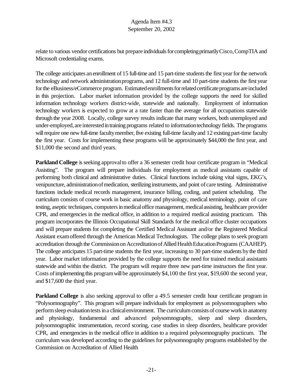relate to various vendor certifications but prepare individuals for completing primarily Cisco, CompTIA and Microsoft credentialing exams.

The college anticipates an enrollment of 15 full-time and 15 part-time students the first year for the network technology and network administration programs, and 12 full-time and 10 part-time students the first year forthe eBusiness/eCommerce program. Estimated enrollments for related certificate programs are included in this projection. Labor market information provided by the college supports the need for skilled information technology workers district-wide, statewide and nationally. Employment of information technology workers is expected to grow at a rate faster than the average for all occupations statewide through the year 2008. Locally, college survey results indicate that many workers, both unemployed and under-employed, are interested in training programs related to information technology fields. The programs will require one new full-time faculty member, five existing full-time faculty and 12 existing part-time faculty the first year. Costs for implementing these programs will be approximately \$44,000 the first year, and \$11,000 the second and third years.

**Parkland College** is seeking approval to offer a 36 semester credit hour certificate program in "Medical Assisting". The program will prepare individuals for employment as medical assistants capable of performing both clinical and administrative duties. Clinical functions include taking vital signs, EKG's, venipuncture, administration of medication, sterilizing instruments, and point of care testing. Administrative functions include medical records management, insurance billing, coding, and patient scheduling. The curriculum consists of course work in basic anatomy and physiology, medical terminology, point of care testing, aseptic techniques, computers in medical office management, medical assisting, healthcare provider CPR, and emergencies in the medical office, in addition to a required medical assisting practicum. This program incorporates the Illinois Occupational Skill Standards for the medical office cluster occupations and will prepare students for completing the Certified Medical Assistant and/or the Registered Medical Assistant examoffered through the American Medical Technologists. The college plans to seek program accreditation through the Commission on Accreditation of Allied Health Education Programs (CAAHEP). The college anticipates 15 part-time students the first year, increasing to 30 part-time students bythe third year. Labor market information provided by the college supports the need for trained medical assistants statewide and within the district. The program will require three new part-time instructors the first year. Costs of implementing this program will be approximately \$4,100 the first year, \$19,600 the second year, and \$17,600 the third year.

**Parkland College** is also seeking approval to offer a 49.5 semester credit hour certificate program in "Polysomnography". This program will prepare individuals for employment as polysomnographers who perform sleep evaluation tests in a clinical environment. The curriculum consists of course work in anatomy and physiology, fundamental and advanced polysomnography, sleep and sleep disorders, polysomnographic instrumentation, record scoring, case studies in sleep disorders, healthcare provider CPR, and emergencies in the medical office in addition to a required polysomnography practicum. The curriculum was developed according to the guidelines for polysomnography programs established by the Commission on Accreditation of Allied Health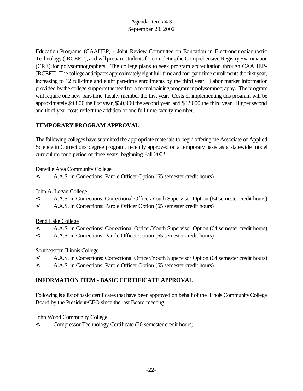Education Programs (CAAHEP) - Joint Review Committee on Education in Electroneurodiagnostic Technology (JRCEET), and will prepare students for completing the Comprehensive Registry Examination (CRE) for polysomnographers. The college plans to seek program accreditation through CAAHEP-JRCEET. The college anticipates approximately eight full-time and four part-time enrollments the first year, increasing to 12 full-time and eight part-time enrollments by the third year. Labor market information provided by the college supports the need for a formal training program in polysomnography. The program will require one new part-time faculty member the first year. Costs of implementing this program will be approximately \$9,800 the first year, \$30,900 the second year, and \$32,000 the third year. Higher second and third year costs reflect the addition of one full-time faculty member.

# **TEMPORARY PROGRAM APPROVAL**

The following colleges have submitted the appropriate materials to begin offering the Associate of Applied Science in Corrections degree program, recently approved on a temporary basis as a statewide model curriculum for a period of three years, beginning Fall 2002:

# Danville Area Community College

< A.A.S. in Corrections: Parole Officer Option (65 semester credit hours)

# John A. Logan College

- < A.A.S. in Corrections: Correctional Officer/Youth Supervisor Option (64 semester credit hours)
- < A.A.S. in Corrections: Parole Officer Option (65 semester credit hours)

# Rend Lake College

- < A.A.S. in Corrections: Correctional Officer/Youth Supervisor Option (64 semester credit hours)
- < A.A.S. in Corrections: Parole Officer Option (65 semester credit hours)

# Southeastern Illinois College

- < A.A.S. in Corrections: Correctional Officer/Youth Supervisor Option (64 semester credit hours)
- < A.A.S. in Corrections: Parole Officer Option (65 semester credit hours)

# **INFORMATION ITEM - BASIC CERTIFICATE APPROVAL**

Following is a list of basic certificates that have been approved on behalf of the Illinois Community College Board by the President/CEO since the last Board meeting:

# John Wood Community College

< Compressor Technology Certificate (20 semester credit hours)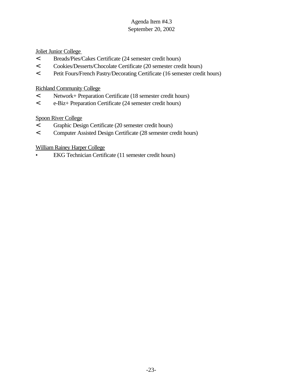## Joliet Junior College

- < Breads/Pies/Cakes Certificate (24 semester credit hours)
- < Cookies/Desserts/Chocolate Certificate (20 semester credit hours)
- < Petit Fours/French Pastry/Decorating Certificate (16 semester credit hours)

## Richland Community College

- < Network+ Preparation Certificate (18 semester credit hours)
- < e-Biz+ Preparation Certificate (24 semester credit hours)

# Spoon River College

- < Graphic Design Certificate (20 semester credit hours)
- < Computer Assisted Design Certificate (28 semester credit hours)

# William Rainey Harper College

• EKG Technician Certificate (11 semester credit hours)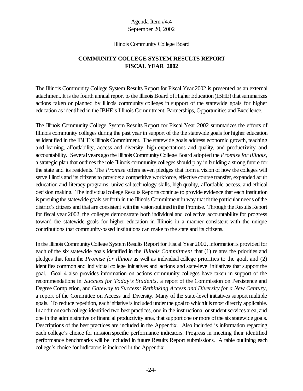#### Illinois Community College Board

# **COMMUNITY COLLEGE SYSTEM RESULTS REPORT FISCAL YEAR 2002**

The Illinois Community College System Results Report for Fiscal Year 2002 is presented as an external attachment. It is the fourth annual report to the Illinois Board of Higher Education (IBHE) that summarizes actions taken or planned by Illinois community colleges in support of the statewide goals for higher education as identified in the IBHE's Illinois Commitment: Partnerships, Opportunities and Excellence.

The Illinois Community College System Results Report for Fiscal Year 2002 summarizes the efforts of Illinois community colleges during the past year in support of the the statewide goals for higher education as identified in the IBHE's Illinois Commitment. The statewide goals address economic growth, teaching and learning, affordability, access and diversity, high expectations and quality, and productivity and accountability. Severalyears ago the Illinois CommunityCollege Board adopted the *Promise forIllinois*, a strategic plan that outlines the role Illinois community colleges should play in building a strong future for the state and its residents. The *Promise* offers seven pledges that form a vision of how the colleges will serve Illinois and its citizens to provide: a competitive workforce, effective course transfer, expanded adult education and literacy programs, universal technology skills, high quality, affordable access, and ethical decision making. The individual college Results Reports continue to provide evidence that each institution is pursuing the statewide goals set forth in the Illinois Commitment in way that fit the particular needs of the district's citizens and that are consistent with the vision outlined in the Promise. Through the Results Report for fiscal year 2002, the colleges demonstrate both individual and collective accountability for progress toward the statewide goals for higher education in Illinois in a manner consistent with the unique contributions that community-based institutions can make to the state and its citizens.

In the Illinois Community College System Results Report for Fiscal Year 2002, information is provided for each of the six statewide goals identified in the *Illinois Commitment* that (1) relates the priorities and pledges that form the *Promise for Illinois* as well as individual college priorities to the goal, and (2) identifies common and individual college initiatives and actions and state-level initiatives that support the goal. Goal 4 also provides information on actions community colleges have taken in support of the recommendations in *Success for Today's Students,* a report of the Commission on Persistence and Degree Completion, and *Gateway to Success: Rethinking Access and Diversity for a New Century,* a report of the Committee on Access and Diversity. Many of the state-level initiatives support multiple goals. To reduce repetition, each initiative is included under the goal to which it is most directly applicable. In addition each college identified two best practices, one in the instructional or student services area, and one in the administrative or financial productivity area, that support one or more of the six statewide goals. Descriptions of the best practices are included in the Appendix. Also included is information regarding each college's choice for mission specific performance indicators. Progress in meeting their identified performance benchmarks will be included in future Results Report submissions. A table outlining each college's choice for indicators is included in the Appendix.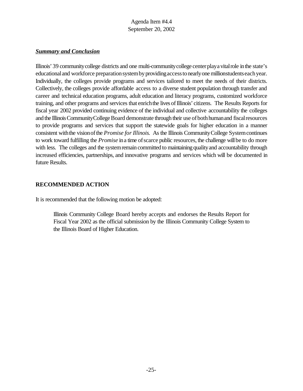## *Summary and Conclusion*

Illinois' 39 communitycollege districts and one multi-communitycollege centerplayavitalrole inthe state's educational and workforce preparation system by providing access to nearly one millionstudents each year. Individually, the colleges provide programs and services tailored to meet the needs of their districts. Collectively, the colleges provide affordable access to a diverse student population through transfer and career and technical education programs, adult education and literacy programs, customized workforce training, and other programs and services that enrichthe lives ofIllinois' citizens. The Results Reports for fiscal year 2002 provided continuing evidence of the individual and collective accountability the colleges and the Illinois Community College Board demonstrate through their use of both human and fiscal resources to provide programs and services that support the statewide goals for higher education in a manner consistent withthe visionofthe *Promise forIllinois.* As the Illinois CommunityCollege Systemcontinues to work toward fulfilling the *Promise* in a time of scarce public resources, the challenge will be to do more with less. The colleges and the system remain committed to maintaining quality and accountability through increased efficiencies, partnerships, and innovative programs and services which will be documented in future Results.

## **RECOMMENDED ACTION**

It is recommended that the following motion be adopted:

Illinois Community College Board hereby accepts and endorses the Results Report for Fiscal Year 2002 as the official submission by the Illinois Community College System to the Illinois Board of Higher Education.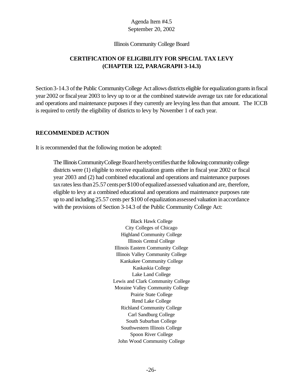#### Illinois Community College Board

# **CERTIFICATION OF ELIGIBILITY FOR SPECIAL TAX LEVY (CHAPTER 122, PARAGRAPH 3-14.3)**

Section 3-14.3 of the Public Community College Act allows districts eligible for equalization grants in fiscal year 2002 or fiscalyear 2003 to levy up to or at the combined statewide average tax rate for educational and operations and maintenance purposes if they currently are levying less than that amount. The ICCB is required to certify the eligibility of districts to levy by November 1 of each year.

## **RECOMMENDED ACTION**

It is recommended that the following motion be adopted:

The Illinois Community College Board hereby certifies that the following community college districts were (1) eligible to receive equalization grants either in fiscal year 2002 or fiscal year 2003 and (2) had combined educational and operations and maintenance purposes tax rates less than 25.57 cents per \$100 of equalized assessed valuation and are, therefore, eligible to levy at a combined educational and operations and maintenance purposes rate up to and including 25.57 cents per \$100 of equalizationassessed valuation in accordance with the provisions of Section 3-14.3 of the Public Community College Act:

> Black Hawk College City Colleges of Chicago Highland Community College Illinois Central College Illinois Eastern Community College Illinois Valley Community College Kankakee Community College Kaskaskia College Lake Land College Lewis and Clark Community College Moraine Valley Community College Prairie State College Rend Lake College Richland Community College Carl Sandburg College South Suburban College Southwestern Illinois College Spoon River College John Wood Community College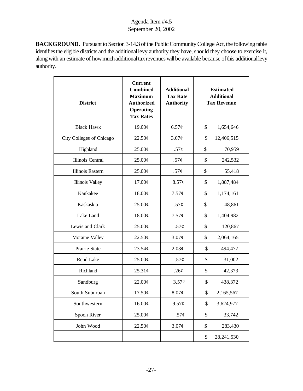**BACKGROUND**. Pursuant to Section 3-14.3 of the Public Community College Act, the following table identifies the eligible districts and the additional levy authority they have, should they choose to exercise it, along with an estimate of how much additional tax revenues will be available because of this additional levy authority.

| <b>District</b>          | <b>Current</b><br><b>Combined</b><br><b>Maximum</b><br><b>Authorized</b><br><b>Operating</b><br><b>Tax Rates</b> | <b>Additional</b><br><b>Tax Rate</b><br><b>Authority</b><br><b>Tax Revenue</b> |    | <b>Estimated</b><br><b>Additional</b> |
|--------------------------|------------------------------------------------------------------------------------------------------------------|--------------------------------------------------------------------------------|----|---------------------------------------|
| <b>Black Hawk</b>        | 19.00¢                                                                                                           | 6.57¢                                                                          | \$ | 1,654,646                             |
| City Colleges of Chicago | 22.50¢                                                                                                           | 3.07¢                                                                          | \$ | 12,406,515                            |
| Highland                 | 25.00¢                                                                                                           | $.57\phi$                                                                      | \$ | 70,959                                |
| Illinois Central         | 25.00¢                                                                                                           | .57 $\phi$                                                                     | \$ | 242,532                               |
| Illinois Eastern         | $25.00\phi$                                                                                                      | .57 $\phi$                                                                     | \$ | 55,418                                |
| Illinois Valley          | $17.00\phi$                                                                                                      | 8.57¢                                                                          | \$ | 1,887,484                             |
| Kankakee                 | $18.00\phi$                                                                                                      | $7.57\phi$                                                                     | \$ | 1,174,161                             |
| Kaskaskia                | 25.00¢                                                                                                           | .57 $\phi$                                                                     | \$ | 48,861                                |
| Lake Land                | 18.00¢                                                                                                           | $7.57\phi$                                                                     | \$ | 1,404,982                             |
| Lewis and Clark          | 25.00¢                                                                                                           | $.57\phi$                                                                      | \$ | 120,867                               |
| Moraine Valley           | 22.50¢                                                                                                           | 3.07¢                                                                          | \$ | 2,064,165                             |
| Prairie State            | 23.54¢                                                                                                           | 2.03¢                                                                          | \$ | 494,477                               |
| Rend Lake                | 25.00¢                                                                                                           | .57 $\phi$                                                                     | \$ | 31,002                                |
| Richland                 | 25.31¢                                                                                                           | .26¢                                                                           | \$ | 42,373                                |
| Sandburg                 | 22.00¢                                                                                                           | $3.57\phi$                                                                     | \$ | 438,372                               |
| South Suburban           | 17.50¢                                                                                                           | 8.07¢                                                                          | \$ | 2,165,567                             |
| Southwestern             | 16.00¢                                                                                                           | 9.57¢                                                                          | \$ | 3,624,977                             |
| Spoon River              | 25.00¢                                                                                                           | .57 $\phi$                                                                     | \$ | 33,742                                |
| John Wood                | 22.50¢                                                                                                           | 3.07¢                                                                          | \$ | 283,430                               |
|                          |                                                                                                                  |                                                                                | \$ | 28,241,530                            |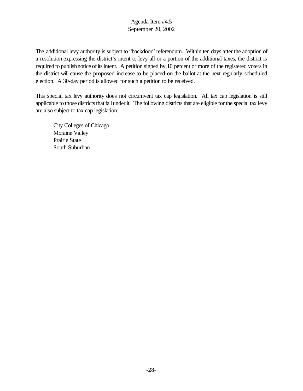The additional levy authority is subject to "backdoor" referendum. Within ten days after the adoption of a resolution expressing the district's intent to levy all or a portion of the additional taxes, the district is required to publish notice of its intent. A petition signed by 10 percent or more of the registered voters in the district will cause the proposed increase to be placed on the ballot at the next regularly scheduled election. A 30-day period is allowed for such a petition to be received.

This special tax levy authority does not circumvent tax cap legislation. All tax cap legislation is still applicable to those districts that fall under it. The following districts that are eligible for the special tax levy are also subject to tax cap legislation:

City Colleges of Chicago Moraine Valley Prairie State South Suburban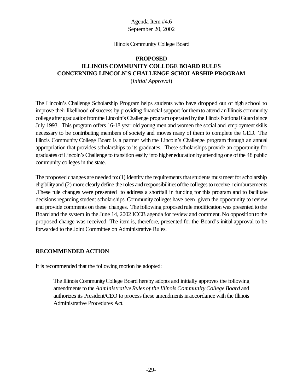#### Illinois Community College Board

# **PROPOSED ILLINOIS COMMUNITY COLLEGE BOARD RULES CONCERNING LINCOLN'S CHALLENGE SCHOLARSHIP PROGRAM**

(*Initial Approval*)

The Lincoln's Challenge Scholarship Program helps students who have dropped out of high school to improve their likelihood of success by providing financial support for themto attend anIllinois community college after graduation from the Lincoln's Challenge program operated by the Illinois National Guard since July 1993. This program offers 16-18 year old young men and women the social and employment skills necessary to be contributing members of society and moves many of them to complete the GED. The Illinois Community College Board is a partner with the Lincoln's Challenge program through an annual appropriation that provides scholarships to its graduates. These scholarships provide an opportunity for graduates ofLincoln'sChallenge to transition easily into higher educationbyattending one ofthe 48 public community colleges in the state.

The proposed changes are needed to:  $(1)$  identify the requirements that students must meet for scholarship eligibility and (2) more clearly define the roles and responsibilities of the colleges to receive reimbursements .These rule changes were presented to address a shortfall in funding for this program and to facilitate decisions regarding student scholarships. Community colleges have been given the opportunity to review and provide comments on these changes. The following proposed rule modification was presented to the Board and the system in the June 14, 2002 ICCB agenda for review and comment. No oppositionto the proposed change was received. The item is, therefore, presented for the Board's initial approval to be forwarded to the Joint Committee on Administrative Rules.

## **RECOMMENDED ACTION**

It is recommended that the following motion be adopted:

The Illinois CommunityCollege Board hereby adopts and initially approves the following amendmentsto the *AdministrativeRules of the Illinois CommunityCollege Board* and authorizes its President/CEO to process these amendments in accordance with the Illinois Administrative Procedures Act.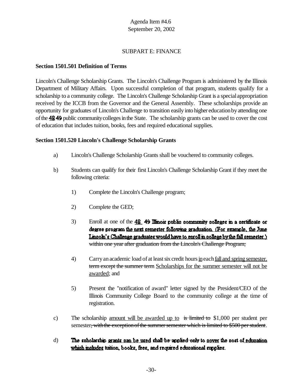## SUBPART E: FINANCE

## **Section 1501.501 Definition of Terms**

Lincoln's Challenge Scholarship Grants. The Lincoln's Challenge Program is administered by the Illinois Department of Military Affairs. Upon successful completion of that program, students qualify for a scholarship to a community college. The Lincoln's Challenge Scholarship Grant is a special appropriation received by the ICCB from the Governor and the General Assembly. These scholarships provide an opportunity for graduates of Lincoln's Challenge to transition easily into higher educationbyattending one of the 4849 public community colleges in the State. The scholarship grants can be used to cover the cost of education that includes tuition, books, fees and required educational supplies.

## **Section 1501.520 Lincoln's Challenge Scholarship Grants**

- a) Lincoln's Challenge Scholarship Grants shall be vouchered to community colleges.
- b) Students can qualify for their first Lincoln's Challenge Scholarship Grant if they meet the following criteria:
	- 1) Complete the Lincoln's Challenge program;
	- 2) Complete the GED;
	- 3) Enroll at one of the  $\frac{48}{9}$  49 Illinois public community colleges in a certificate or degree program the next semester following graduation. (For example, the June Linnoln's Challenge graduates would have to enroll in nollege by the fall semester.) within one year after graduation from the Lincoln's Challenge Program;
	- 4) Carryanacademic load of at leastsix credit hoursineachfall and spring semester. term except the summer term Scholarships for the summer semester will not be awarded; and
	- 5) Present the "notification of award" letter signed by the President/CEO of the Illinois Community College Board to the community college at the time of registration.
- c) The scholarship <u>amount will be awarded up to</u> is limited to \$1,000 per student per semester, with the exception of the summer semester which is limited to \$500 per student.
- d)The scholarship grants can be used shall be applied only to gover the cost of education which moludes tuttion, books, fees, and required educational supplies.